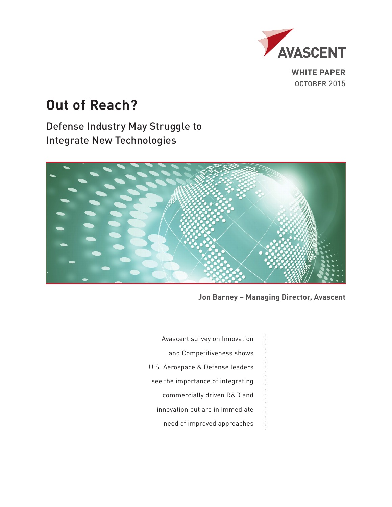

**WHITE PAPER** OCTOBER 2015

# **Out of Reach?**

Defense Industry May Struggle to Integrate New Technologies



**Jon Barney – Managing Director, Avascent**

Avascent survey on Innovation and Competitiveness shows U.S. Aerospace & Defense leaders see the importance of integrating commercially driven R&D and innovation but are in immediate need of improved approaches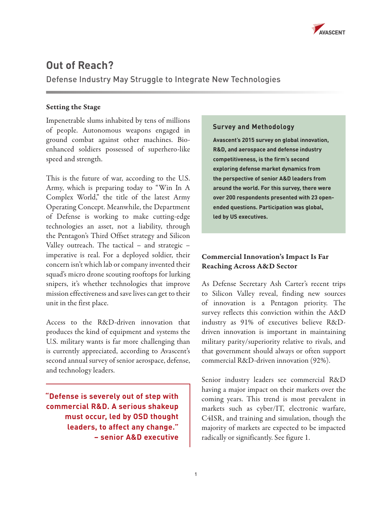

## **Out of Reach?**

Defense Industry May Struggle to Integrate New Technologies

## Setting the Stage

Impenetrable slums inhabited by tens of millions of people. Autonomous weapons engaged in ground combat against other machines. Bioenhanced soldiers possessed of superhero-like speed and strength.

This is the future of war, according to the U.S. Army, which is preparing today to "Win In A Complex World," the title of the latest Army Operating Concept. Meanwhile, the Department of Defense is working to make cutting-edge technologies an asset, not a liability, through the Pentagon's Third Offset strategy and Silicon Valley outreach. The tactical – and strategic – imperative is real. For a deployed soldier, their concern isn't which lab or company invented their squad's micro drone scouting rooftops for lurking snipers, it's whether technologies that improve mission effectiveness and save lives can get to their unit in the first place.

Access to the R&D-driven innovation that produces the kind of equipment and systems the U.S. military wants is far more challenging than is currently appreciated, according to Avascent's second annual survey of senior aerospace, defense, and technology leaders.

**"Defense is severely out of step with commercial R&D. A serious shakeup must occur, led by OSD thought leaders, to affect any change." – senior A&D executive**

## **Survey and Methodology**

**Avascent's 2015 survey on global innovation, R&D, and aerospace and defense industry competitiveness, is the firm's second exploring defense market dynamics from the perspective of senior A&D leaders from around the world. For this survey, there were over 200 respondents presented with 23 openended questions. Participation was global, led by US executives.** 

## Commercial Innovation's Impact Is Far Reaching Across A&D Sector

As Defense Secretary Ash Carter's recent trips to Silicon Valley reveal, finding new sources of innovation is a Pentagon priority. The survey reflects this conviction within the A&D industry as 91% of executives believe R&Ddriven innovation is important in maintaining military parity/superiority relative to rivals, and that government should always or often support commercial R&D-driven innovation (92%).

Senior industry leaders see commercial R&D having a major impact on their markets over the coming years. This trend is most prevalent in markets such as cyber/IT, electronic warfare, C4ISR, and training and simulation, though the majority of markets are expected to be impacted radically or significantly. See figure 1.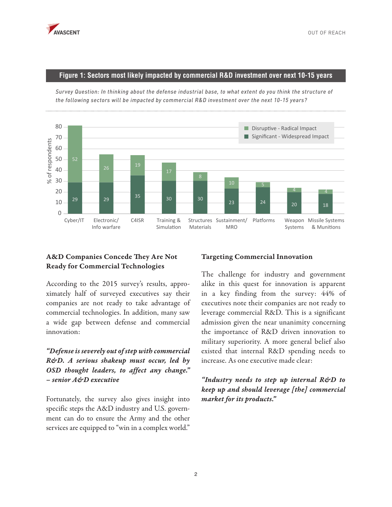

#### **Figure 1: Sectors most likely impacted by commercial R&D investment over next 10-15 years**

 $29$   $29$   $35$   $30$   $30$  $23$  24 20 20 18 52 26 19 4 4  $\Omega$ 10 20 30 40 50 60 70 80 % of respondents of respondents Cyber/IT Electronic/ Info warfare C4ISR Training & Simulation Structures Sustainment/ Materials **MRO** Platforms Weapon Missile Systems Systems & Munitions Significant - Widespread Impact Disruptive - Radical Impact

*Survey Question: In thinking about the defense industrial base, to what extent do you think the structure of the following sectors will be impacted by commercial R&D investment over the next 10-15 years?*

## A&D Companies Concede They Are Not Ready for Commercial Technologies

According to the 2015 survey's results, approximately half of surveyed executives say their companies are not ready to take advantage of commercial technologies. In addition, many saw a wide gap between defense and commercial innovation:

## *"Defense is severely out of step with commercial R&D. A serious shakeup must occur, led by OSD thought leaders, to affect any change." – senior A&D executive*

Fortunately, the survey also gives insight into specific steps the A&D industry and U.S. government can do to ensure the Army and the other services are equipped to "win in a complex world."

#### Targeting Commercial Innovation

The challenge for industry and government alike in this quest for innovation is apparent in a key finding from the survey: 44% of executives note their companies are not ready to leverage commercial R&D. This is a significant admission given the near unanimity concerning the importance of R&D driven innovation to military superiority. A more general belief also existed that internal R&D spending needs to increase. As one executive made clear:

## *"Industry needs to step up internal R&D to keep up and should leverage [the] commercial market for its products."*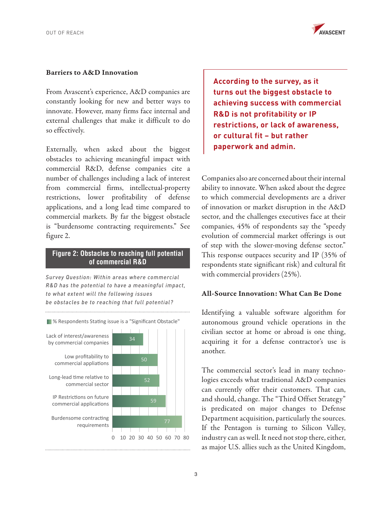

#### Barriers to A&D Innovation

From Avascent's experience, A&D companies are constantly looking for new and better ways to innovate. However, many firms face internal and external challenges that make it difficult to do so effectively.

Externally, when asked about the biggest obstacles to achieving meaningful impact with commercial R&D, defense companies cite a number of challenges including a lack of interest from commercial firms, intellectual-property restrictions, lower profitability of defense applications, and a long lead time compared to commercial markets. By far the biggest obstacle is "burdensome contracting requirements." See figure 2.

#### **Figure 2: Obstacles to reaching full potential of commercial R&D**

*Survey Question: Within areas where commercial R&D has the potential to have a meaningful impact, to what extent will the following issues be obstacles be to reaching that full potential?*



**According to the survey, as it turns out the biggest obstacle to achieving success with commercial R&D is not profitability or IP restrictions, or lack of awareness, or cultural fit – but rather paperwork and admin.**

Companies also are concerned about their internal ability to innovate. When asked about the degree to which commercial developments are a driver of innovation or market disruption in the A&D sector, and the challenges executives face at their companies, 45% of respondents say the "speedy evolution of commercial market offerings is out of step with the slower-moving defense sector." This response outpaces security and IP (35% of respondents state significant risk) and cultural fit with commercial providers (25%).

#### All-Source Innovation: What Can Be Done

Identifying a valuable software algorithm for autonomous ground vehicle operations in the civilian sector at home or abroad is one thing, acquiring it for a defense contractor's use is another.

The commercial sector's lead in many technologies exceeds what traditional A&D companies can currently offer their customers. That can, and should, change. The "Third Offset Strategy" is predicated on major changes to Defense Department acquisition, particularly the sources. If the Pentagon is turning to Silicon Valley, industry can as well. It need not stop there, either, as major U.S. allies such as the United Kingdom,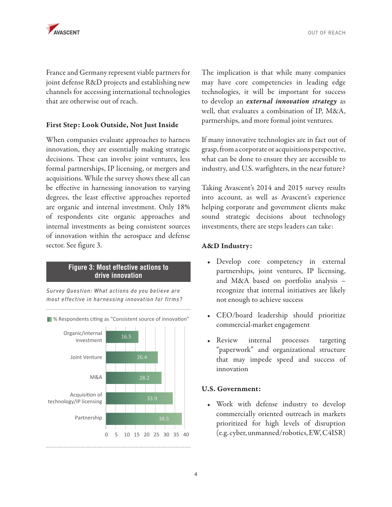

France and Germany represent viable partners for joint defense R&D projects and establishing new channels for accessing international technologies that are otherwise out of reach.

#### First Step: Look Outside, Not Just Inside

When companies evaluate approaches to harness innovation, they are essentially making strategic decisions. These can involve joint ventures, less formal partnerships, IP licensing, or mergers and acquisitions. While the survey shows these all can be effective in harnessing innovation to varying degrees, the least effective approaches reported are organic and internal investment. Only 18% of respondents cite organic approaches and internal investments as being consistent sources of innovation within the aerospace and defense sector. See figure 3.

#### **Figure 3: Most effective actions to drive innovation**

*Survey Question: What actions do you believe are most effective in harnessing innovation for firms?*



**8 % Respondents citing as "Consistent source of innovation"** 

The implication is that while many companies may have core competencies in leading edge technologies, it will be important for success to develop an *external innovation strategy* as well, that evaluates a combination of IP, M&A, partnerships, and more formal joint ventures.

If many innovative technologies are in fact out of grasp, from a corporate or acquisitions perspective, what can be done to ensure they are accessible to industry, and U.S. warfighters, in the near future?

Taking Avascent's 2014 and 2015 survey results into account, as well as Avascent's experience helping corporate and government clients make sound strategic decisions about technology investments, there are steps leaders can take:

#### A&D Industry:

- Develop core competency in external partnerships, joint ventures, IP licensing, and M&A based on portfolio analysis – recognize that internal initiatives are likely not enough to achieve success
- CEO/board leadership should prioritize commercial-market engagement
- Review internal processes targeting "paperwork" and organizational structure that may impede speed and success of innovation

#### U.S. Government:

• Work with defense industry to develop commercially oriented outreach in markets prioritized for high levels of disruption <sup>0</sup> <sup>5</sup> <sup>10</sup> <sup>15</sup> <sup>20</sup> <sup>25</sup> <sup>30</sup> <sup>35</sup> <sup>40</sup> (e.g. cyber, unmanned/robotics, EW, C4ISR)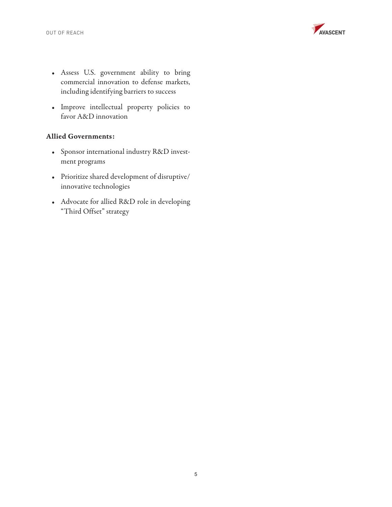

- Assess U.S. government ability to bring commercial innovation to defense markets, including identifying barriers to success
- Improve intellectual property policies to favor A&D innovation

#### Allied Governments:

- Sponsor international industry R&D investment programs
- Prioritize shared development of disruptive/ innovative technologies
- Advocate for allied R&D role in developing "Third Offset" strategy